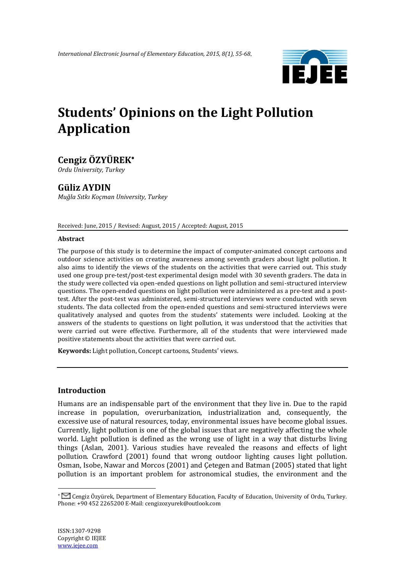

# **Students' Opinions on the Light Pollution Application**

# **Cengiz ÖZYÜREK**

*Ordu University, Turkey*

# **Güliz AYDIN**

*Muğla Sıtkı Koçman University, Turkey*

Received: June, 2015 / Revised: August, 2015 / Accepted: August, 2015

#### **Abstract**

The purpose of this study is to determine the impact of computer-animated concept cartoons and outdoor science activities on creating awareness among seventh graders about light pollution. It also aims to identify the views of the students on the activities that were carried out. This study used one group pre-test/post-test experimental design model with 30 seventh graders. The data in the study were collected via open-ended questions on light pollution and semi-structured interview questions. The open-ended questions on light pollution were administered as a pre-test and a posttest. After the post-test was administered, semi-structured interviews were conducted with seven students. The data collected from the open-ended questions and semi-structured interviews were qualitatively analysed and quotes from the students' statements were included. Looking at the answers of the students to questions on light pollution, it was understood that the activities that were carried out were effective. Furthermore, all of the students that were interviewed made positive statements about the activities that were carried out.

**Keywords:** Light pollution, Concept cartoons, Students' views.

## **Introduction**

Humans are an indispensable part of the environment that they live in. Due to the rapid increase in population, overurbanization, industrialization and, consequently, the excessive use of natural resources, today, environmental issues have become global issues. Currently, light pollution is one of the global issues that are negatively affecting the whole world. Light pollution is defined as the wrong use of light in a way that disturbs living things (Aslan, 2001). Various studies have revealed the reasons and effects of light pollution. Crawford (2001) found that wrong outdoor lighting causes light pollution. Osman, Isobe, Nawar and Morcos (2001) and Çetegen and Batman (2005) stated that light pollution is an important problem for astronomical studies, the environment and the

1

Cengiz Özyürek, Department of Elementary Education, Faculty of Education, University of Ordu, Turkey. Phone: +90 452 2265200 E-Mail: cengizozyurek@outlook.com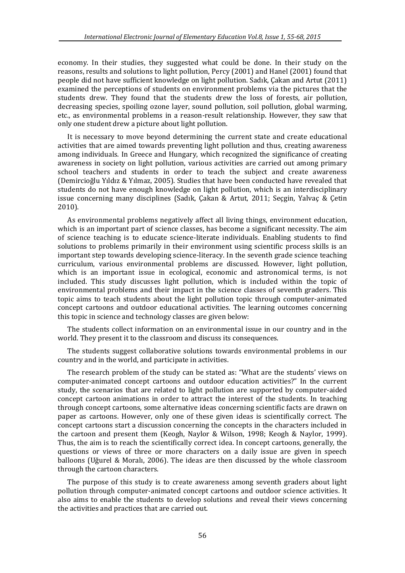economy. In their studies, they suggested what could be done. In their study on the reasons, results and solutions to light pollution, Percy (2001) and Hanel (2001) found that people did not have sufficient knowledge on light pollution. Sadık, Çakan and Artut (2011) examined the perceptions of students on environment problems via the pictures that the students drew. They found that the students drew the loss of forests, air pollution, decreasing species, spoiling ozone layer, sound pollution, soil pollution, global warming, etc., as environmental problems in a reason-result relationship. However, they saw that only one student drew a picture about light pollution.

It is necessary to move beyond determining the current state and create educational activities that are aimed towards preventing light pollution and thus, creating awareness among individuals. In Greece and Hungary, which recognized the significance of creating awareness in society on light pollution, various activities are carried out among primary school teachers and students in order to teach the subject and create awareness (Demircioğlu Yıldız & Yılmaz, 2005). Studies that have been conducted have revealed that students do not have enough knowledge on light pollution, which is an interdisciplinary issue concerning many disciplines (Sadık, Çakan & Artut, 2011; Seçgin, Yalvaç & Çetin 2010).

As environmental problems negatively affect all living things, environment education, which is an important part of science classes, has become a significant necessity. The aim of science teaching is to educate science-literate individuals. Enabling students to find solutions to problems primarily in their environment using scientific process skills is an important step towards developing science-literacy. In the seventh grade science teaching curriculum, various environmental problems are discussed. However, light pollution, which is an important issue in ecological, economic and astronomical terms, is not included. This study discusses light pollution, which is included within the topic of environmental problems and their impact in the science classes of seventh graders. This topic aims to teach students about the light pollution topic through computer-animated concept cartoons and outdoor educational activities. The learning outcomes concerning this topic in science and technology classes are given below:

The students collect information on an environmental issue in our country and in the world. They present it to the classroom and discuss its consequences.

The students suggest collaborative solutions towards environmental problems in our country and in the world, and participate in activities.

The research problem of the study can be stated as: "What are the students' views on computer-animated concept cartoons and outdoor education activities?" In the current study, the scenarios that are related to light pollution are supported by computer-aided concept cartoon animations in order to attract the interest of the students. In teaching through concept cartoons, some alternative ideas concerning scientific facts are drawn on paper as cartoons. However, only one of these given ideas is scientifically correct. The concept cartoons start a discussion concerning the concepts in the characters included in the cartoon and present them (Keogh, Naylor & Wilson, 1998; Keogh & Naylor, 1999). Thus, the aim is to reach the scientifically correct idea. In concept cartoons, generally, the questions or views of three or more characters on a daily issue are given in speech balloons (Uğurel & Moralı, 2006). The ideas are then discussed by the whole classroom through the cartoon characters.

The purpose of this study is to create awareness among seventh graders about light pollution through computer-animated concept cartoons and outdoor science activities. It also aims to enable the students to develop solutions and reveal their views concerning the activities and practices that are carried out.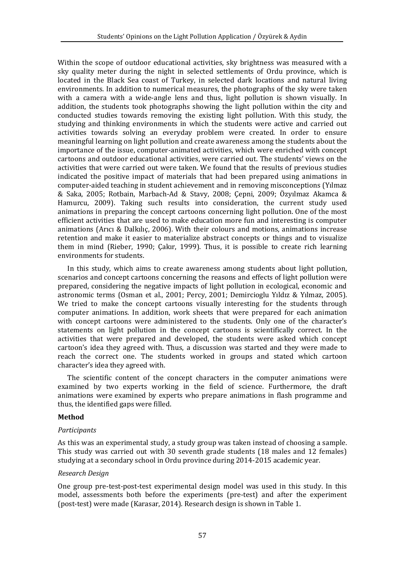Within the scope of outdoor educational activities, sky brightness was measured with a sky quality meter during the night in selected settlements of Ordu province, which is located in the Black Sea coast of Turkey, in selected dark locations and natural living environments. In addition to numerical measures, the photographs of the sky were taken with a camera with a wide-angle lens and thus, light pollution is shown visually. In addition, the students took photographs showing the light pollution within the city and conducted studies towards removing the existing light pollution. With this study, the studying and thinking environments in which the students were active and carried out activities towards solving an everyday problem were created. In order to ensure meaningful learning on light pollution and create awareness among the students about the importance of the issue, computer-animated activities, which were enriched with concept cartoons and outdoor educational activities, were carried out. The students' views on the activities that were carried out were taken. We found that the results of previous studies indicated the positive impact of materials that had been prepared using animations in computer-aided teaching in student achievement and in removing misconceptions (Yılmaz & Saka, 2005; Rotbain, Marbach-Ad & Stavy, 2008; Çepni, 2009; Özyılmaz Akamca & Hamurcu, 2009). Taking such results into consideration, the current study used animations in preparing the concept cartoons concerning light pollution. One of the most efficient activities that are used to make education more fun and interesting is computer animations (Arıcı & Dalkılıç, 2006). With their colours and motions, animations increase retention and make it easier to materialize abstract concepts or things and to visualize them in mind (Rieber, 1990; Çakır, 1999). Thus, it is possible to create rich learning environments for students.

In this study, which aims to create awareness among students about light pollution, scenarios and concept cartoons concerning the reasons and effects of light pollution were prepared, considering the negative impacts of light pollution in ecological, economic and astronomic terms (Osman et al., 2001; Percy, 2001; Demircioglu Yıldız & Yılmaz, 2005). We tried to make the concept cartoons visually interesting for the students through computer animations. In addition, work sheets that were prepared for each animation with concept cartoons were administered to the students. Only one of the character's statements on light pollution in the concept cartoons is scientifically correct. In the activities that were prepared and developed, the students were asked which concept cartoon's idea they agreed with. Thus, a discussion was started and they were made to reach the correct one. The students worked in groups and stated which cartoon character's idea they agreed with.

The scientific content of the concept characters in the computer animations were examined by two experts working in the field of science. Furthermore, the draft animations were examined by experts who prepare animations in flash programme and thus, the identified gaps were filled.

#### **Method**

#### *Participants*

As this was an experimental study, a study group was taken instead of choosing a sample. This study was carried out with 30 seventh grade students (18 males and 12 females) studying at a secondary school in Ordu province during 2014-2015 academic year.

#### *Research Design*

One group pre-test-post-test experimental design model was used in this study. In this model, assessments both before the experiments (pre-test) and after the experiment (post-test) were made (Karasar, 2014). Research design is shown in Table 1.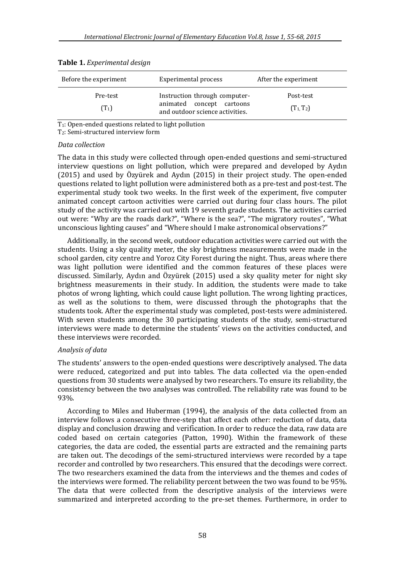| Before the experiment | Experimental process                                         | After the experiment |
|-----------------------|--------------------------------------------------------------|----------------------|
| Pre-test              | Instruction through computer-                                | Post-test            |
| $(T_1)$               | animated concept cartoons<br>and outdoor science activities. | $(T_1, T_2)$         |

|  | Table 1. Experimental design |  |
|--|------------------------------|--|
|--|------------------------------|--|

T1: Open-ended questions related to light pollution

T2: Semi-structured interview form

#### *Data collection*

The data in this study were collected through open-ended questions and semi-structured interview questions on light pollution, which were prepared and developed by Aydın (2015) and used by Özyürek and Aydın (2015) in their project study. The open-ended questions related to light pollution were administered both as a pre-test and post-test. The experimental study took two weeks. In the first week of the experiment, five computer animated concept cartoon activities were carried out during four class hours. The pilot study of the activity was carried out with 19 seventh grade students. The activities carried out were: "Why are the roads dark?", "Where is the sea?", "The migratory routes", "What unconscious lighting causes" and "Where should I make astronomical observations?"

Additionally, in the second week, outdoor education activities were carried out with the students. Using a sky quality meter, the sky brightness measurements were made in the school garden, city centre and Yoroz City Forest during the night. Thus, areas where there was light pollution were identified and the common features of these places were discussed. Similarly, Aydın and Özyürek (2015) used a sky quality meter for night sky brightness measurements in their study. In addition, the students were made to take photos of wrong lighting, which could cause light pollution. The wrong lighting practices, as well as the solutions to them, were discussed through the photographs that the students took. After the experimental study was completed, post-tests were administered. With seven students among the 30 participating students of the study, semi-structured interviews were made to determine the students' views on the activities conducted, and these interviews were recorded.

#### *Analysis of data*

The students' answers to the open-ended questions were descriptively analysed. The data were reduced, categorized and put into tables. The data collected via the open-ended questions from 30 students were analysed by two researchers. To ensure its reliability, the consistency between the two analyses was controlled. The reliability rate was found to be 93%.

According to Miles and Huberman (1994), the analysis of the data collected from an interview follows a consecutive three-step that affect each other: reduction of data, data display and conclusion drawing and verification. In order to reduce the data, raw data are coded based on certain categories (Patton, 1990). Within the framework of these categories, the data are coded, the essential parts are extracted and the remaining parts are taken out. The decodings of the semi-structured interviews were recorded by a tape recorder and controlled by two researchers. This ensured that the decodings were correct. The two researchers examined the data from the interviews and the themes and codes of the interviews were formed. The reliability percent between the two was found to be 95%. The data that were collected from the descriptive analysis of the interviews were summarized and interpreted according to the pre-set themes. Furthermore, in order to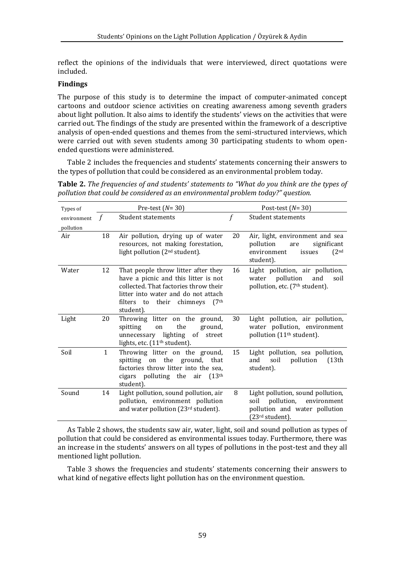reflect the opinions of the individuals that were interviewed, direct quotations were included.

### **Findings**

The purpose of this study is to determine the impact of computer-animated concept cartoons and outdoor science activities on creating awareness among seventh graders about light pollution. It also aims to identify the students' views on the activities that were carried out. The findings of the study are presented within the framework of a descriptive analysis of open-ended questions and themes from the semi-structured interviews, which were carried out with seven students among 30 participating students to whom openended questions were administered.

Table 2 includes the frequencies and students' statements concerning their answers to the types of pollution that could be considered as an environmental problem today.

| Types of                 |    | Pre-test $(N=30)$                                                                                                                                                                                                           |             | Post-test $(N=30)$                                                                                                             |
|--------------------------|----|-----------------------------------------------------------------------------------------------------------------------------------------------------------------------------------------------------------------------------|-------------|--------------------------------------------------------------------------------------------------------------------------------|
| environment<br>pollution |    | <b>Student statements</b>                                                                                                                                                                                                   | $\mathbf f$ | <b>Student statements</b>                                                                                                      |
| Air                      | 18 | Air pollution, drying up of water<br>resources, not making forestation,<br>light pollution (2 <sup>nd</sup> student).                                                                                                       | 20          | Air, light, environment and sea<br>pollution<br>significant<br>are<br>(2 <sup>nd</sup> )<br>environment<br>issues<br>student). |
| Water                    | 12 | That people throw litter after they<br>have a picnic and this litter is not<br>collected. That factories throw their<br>litter into water and do not attach<br>filters to their chimneys<br>(7 <sup>th</sup> )<br>student). | 16          | Light pollution, air pollution,<br>pollution<br>and<br>water<br>soil<br>pollution, etc. (7 <sup>th</sup> student).             |
| Light                    | 20 | Throwing litter on the ground,<br>the<br>spitting<br>ground,<br>on<br>unnecessary lighting of street<br>lights, etc. $(11th student)$ .                                                                                     | 30          | Light pollution, air pollution,<br>water pollution, environment<br>pollution (11 <sup>th</sup> student).                       |
| Soil                     | 1  | Throwing litter on the ground,<br>spitting on the ground, that<br>factories throw litter into the sea,<br>cigars polluting the air (13th<br>student).                                                                       | 15          | Light pollution, sea pollution,<br>pollution<br>soil<br>(13th<br>and<br>student).                                              |
| Sound                    | 14 | Light pollution, sound pollution, air<br>pollution, environment pollution<br>and water pollution (23rd student).                                                                                                            | 8           | Light pollution, sound pollution,<br>pollution,<br>environment<br>soil<br>pollution and water pollution<br>(23rd student).     |

**Table 2.** *The frequencies of and students' statements to "What do you think are the types of pollution that could be considered as an environmental problem today?" question.*

As Table 2 shows, the students saw air, water, light, soil and sound pollution as types of pollution that could be considered as environmental issues today. Furthermore, there was an increase in the students' answers on all types of pollutions in the post-test and they all mentioned light pollution.

Table 3 shows the frequencies and students' statements concerning their answers to what kind of negative effects light pollution has on the environment question.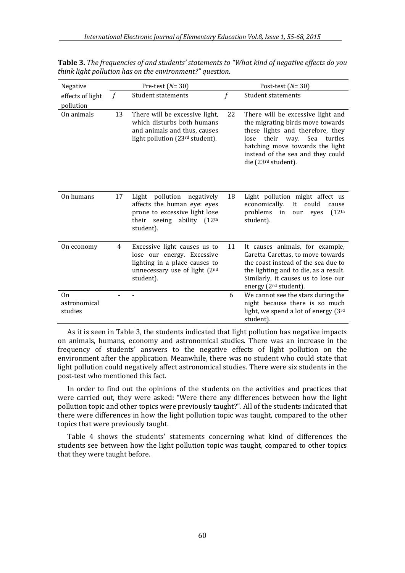| Negative                      |               | Pre-test $(N=30)$                                                                                                                           |             | Post-test $(N=30)$                                                                                                                                                                                                                               |  |  |  |
|-------------------------------|---------------|---------------------------------------------------------------------------------------------------------------------------------------------|-------------|--------------------------------------------------------------------------------------------------------------------------------------------------------------------------------------------------------------------------------------------------|--|--|--|
| effects of light              | $\mathcal{f}$ | <b>Student statements</b>                                                                                                                   | $\mathbf f$ | <b>Student statements</b>                                                                                                                                                                                                                        |  |  |  |
| pollution                     |               |                                                                                                                                             |             |                                                                                                                                                                                                                                                  |  |  |  |
| On animals                    | 13            | There will be excessive light,<br>which disturbs both humans<br>and animals and thus, causes<br>light pollution (23rd student).             | 22          | There will be excessive light and<br>the migrating birds move towards<br>these lights and therefore, they<br>their<br>way. Sea<br>lose<br>turtles<br>hatching move towards the light<br>instead of the sea and they could<br>die (23rd student). |  |  |  |
| On humans                     | 17            | Light pollution<br>negatively<br>affects the human eye: eyes<br>prone to excessive light lose<br>their seeing ability $(12th)$<br>student). | 18          | Light pollution might affect us<br>economically.<br>It<br>could<br>cause<br>problems<br>(12 <sup>th</sup> )<br>in<br>our<br>eyes<br>student).                                                                                                    |  |  |  |
| On economy                    | 4             | Excessive light causes us to<br>lose our energy. Excessive<br>lighting in a place causes to<br>unnecessary use of light (2nd<br>student).   | 11          | It causes animals, for example,<br>Caretta Carettas, to move towards<br>the coast instead of the sea due to<br>the lighting and to die, as a result.<br>Similarly, it causes us to lose our<br>energy (2 <sup>nd</sup> student).                 |  |  |  |
| On<br>astronomical<br>studies |               |                                                                                                                                             | 6           | We cannot see the stars during the<br>night because there is so much<br>light, we spend a lot of energy (3rd<br>student).                                                                                                                        |  |  |  |

**Table 3.** *The frequencies of and students' statements to "What kind of negative effects do you think light pollution has on the environment?" question.*

As it is seen in Table 3, the students indicated that light pollution has negative impacts on animals, humans, economy and astronomical studies. There was an increase in the frequency of students' answers to the negative effects of light pollution on the environment after the application. Meanwhile, there was no student who could state that light pollution could negatively affect astronomical studies. There were six students in the post-test who mentioned this fact.

In order to find out the opinions of the students on the activities and practices that were carried out, they were asked: "Were there any differences between how the light pollution topic and other topics were previously taught?". All of the students indicated that there were differences in how the light pollution topic was taught, compared to the other topics that were previously taught.

Table 4 shows the students' statements concerning what kind of differences the students see between how the light pollution topic was taught, compared to other topics that they were taught before.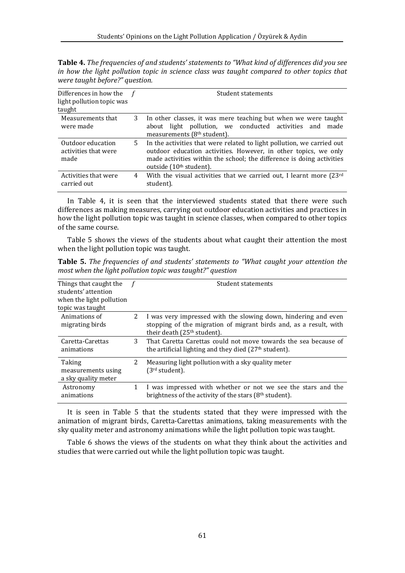**Table 4.** *The frequencies of and students' statements to "What kind of differences did you see in how the light pollution topic in science class was taught compared to other topics that were taught before?" question.*

| Differences in how the $f$<br>light pollution topic was<br>taught |   | Student statements                                                                                                                                                                                                                                        |
|-------------------------------------------------------------------|---|-----------------------------------------------------------------------------------------------------------------------------------------------------------------------------------------------------------------------------------------------------------|
| Measurements that<br>were made                                    | 3 | In other classes, it was mere teaching but when we were taught<br>about light pollution, we conducted activities and<br>made<br>measurements (8 <sup>th</sup> student).                                                                                   |
| Outdoor education<br>activities that were<br>made                 | 5 | In the activities that were related to light pollution, we carried out<br>outdoor education activities. However, in other topics, we only<br>made activities within the school; the difference is doing activities<br>outside (10 <sup>th</sup> student). |
| Activities that were<br>carried out                               | 4 | With the visual activities that we carried out, I learnt more (23rd<br>student).                                                                                                                                                                          |

In Table 4, it is seen that the interviewed students stated that there were such differences as making measures, carrying out outdoor education activities and practices in how the light pollution topic was taught in science classes, when compared to other topics of the same course.

Table 5 shows the views of the students about what caught their attention the most when the light pollution topic was taught.

| <b>Table 5.</b> The frequencies of and students' statements to "What caught your attention the                                                                                                                                                                                                                                     |  |                                    |  |  |
|------------------------------------------------------------------------------------------------------------------------------------------------------------------------------------------------------------------------------------------------------------------------------------------------------------------------------------|--|------------------------------------|--|--|
| most when the light pollution topic was taught?" question                                                                                                                                                                                                                                                                          |  |                                    |  |  |
| $\mathbf{r}$ $\mathbf{r}$ $\mathbf{r}$ $\mathbf{r}$ $\mathbf{r}$ $\mathbf{r}$ $\mathbf{r}$ $\mathbf{r}$ $\mathbf{r}$ $\mathbf{r}$ $\mathbf{r}$ $\mathbf{r}$ $\mathbf{r}$ $\mathbf{r}$ $\mathbf{r}$ $\mathbf{r}$ $\mathbf{r}$ $\mathbf{r}$ $\mathbf{r}$ $\mathbf{r}$ $\mathbf{r}$ $\mathbf{r}$ $\mathbf{r}$ $\mathbf{r}$ $\mathbf{$ |  | $\sim$ $\sim$ $\sim$ $\sim$ $\sim$ |  |  |

| Things that caught the<br>students' attention<br>when the light pollution<br>topic was taught |   | Student statements                                                                                                                   |
|-----------------------------------------------------------------------------------------------|---|--------------------------------------------------------------------------------------------------------------------------------------|
| Animations of<br>migrating birds                                                              | 2 | I was very impressed with the slowing down, hindering and even<br>stopping of the migration of migrant birds and, as a result, with  |
|                                                                                               |   | their death (25 <sup>th</sup> student).                                                                                              |
| Caretta-Carettas<br>animations                                                                | 3 | That Caretta Carettas could not move towards the sea because of<br>the artificial lighting and they died (27 <sup>th</sup> student). |
| Taking                                                                                        | 2 | Measuring light pollution with a sky quality meter                                                                                   |
| measurements using<br>a sky quality meter                                                     |   | (3rd student).                                                                                                                       |
| Astronomy                                                                                     | 1 | I was impressed with whether or not we see the stars and the                                                                         |
| animations                                                                                    |   | brightness of the activity of the stars (8 <sup>th</sup> student).                                                                   |

It is seen in Table 5 that the students stated that they were impressed with the animation of migrant birds, Caretta-Carettas animations, taking measurements with the sky quality meter and astronomy animations while the light pollution topic was taught.

Table 6 shows the views of the students on what they think about the activities and studies that were carried out while the light pollution topic was taught.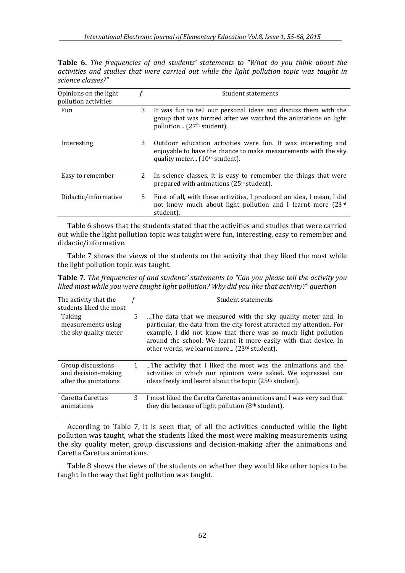**Table 6.** *The frequencies of and students' statements to "What do you think about the activities and studies that were carried out while the light pollution topic was taught in science classes?"*

| Opinions on the light<br>pollution activities |    | Student statements                                                                                                                                                         |
|-----------------------------------------------|----|----------------------------------------------------------------------------------------------------------------------------------------------------------------------------|
| Fun                                           | 3  | It was fun to tell our personal ideas and discuss them with the<br>group that was formed after we watched the animations on light<br>pollution (27 <sup>th</sup> student). |
| Interesting                                   | 3  | Outdoor education activities were fun. It was interesting and<br>enjoyable to have the chance to make measurements with the sky<br>quality meter $(10th student)$ .        |
| Easy to remember                              | 2  | In science classes, it is easy to remember the things that were<br>prepared with animations (25 <sup>th</sup> student).                                                    |
| Didactic/informative                          | 5. | First of all, with these activities, I produced an idea, I mean, I did<br>not know much about light pollution and I learnt more (23rd<br>student).                         |

Table 6 shows that the students stated that the activities and studies that were carried out while the light pollution topic was taught were fun, interesting, easy to remember and didactic/informative.

Table 7 shows the views of the students on the activity that they liked the most while the light pollution topic was taught.

**Table 7.** *The frequencies of and students' statements to "Can you please tell the activity you liked most while you were taught light pollution? Why did you like that activity?" question*

| The activity that the<br>students liked the most                 |   | Student statements                                                                                                                                                                                                                                                                                                         |
|------------------------------------------------------------------|---|----------------------------------------------------------------------------------------------------------------------------------------------------------------------------------------------------------------------------------------------------------------------------------------------------------------------------|
| Taking<br>measurements using<br>the sky quality meter            | 5 | The data that we measured with the sky quality meter and, in<br>particular, the data from the city forest attracted my attention. For<br>example, I did not know that there was so much light pollution<br>around the school. We learnt it more easily with that device. In<br>other words, we learnt more (23rd student). |
| Group discussions<br>and decision-making<br>after the animations | 1 | The activity that I liked the most was the animations and the<br>activities in which our opinions were asked. We expressed our<br>ideas freely and learnt about the topic (25 <sup>th</sup> student).                                                                                                                      |
| Caretta Carettas<br>animations                                   | 3 | I most liked the Caretta Carettas animations and I was very sad that<br>they die because of light pollution (8 <sup>th</sup> student).                                                                                                                                                                                     |

According to Table 7, it is seen that, of all the activities conducted while the light pollution was taught, what the students liked the most were making measurements using the sky quality meter, group discussions and decision-making after the animations and Caretta Carettas animations.

Table 8 shows the views of the students on whether they would like other topics to be taught in the way that light pollution was taught.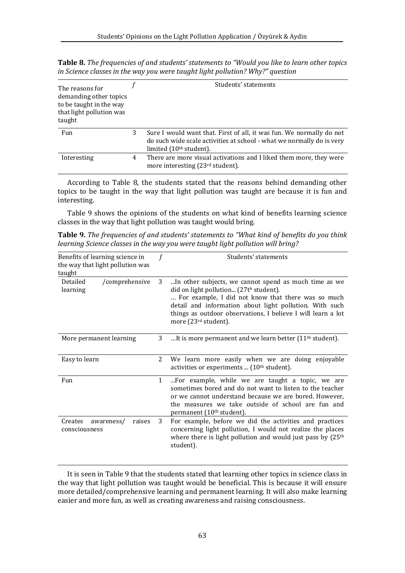**Table 8.** *The frequencies of and students' statements to "Would you like to learn other topics in Science classes in the way you were taught light pollution? Why?" question*

| The reasons for<br>demanding other topics<br>to be taught in the way<br>that light pollution was<br>taught |   | Students' statements                                                                                                                                                                 |
|------------------------------------------------------------------------------------------------------------|---|--------------------------------------------------------------------------------------------------------------------------------------------------------------------------------------|
| Fun                                                                                                        | 3 | Sure I would want that. First of all, it was fun. We normally do not<br>do such wide scale activities at school - what we normally do is very<br>limited (10 <sup>th</sup> student). |
| Interesting                                                                                                | 4 | There are more visual activations and I liked them more, they were<br>more interesting (23rd student).                                                                               |

According to Table 8, the students stated that the reasons behind demanding other topics to be taught in the way that light pollution was taught are because it is fun and interesting.

Table 9 shows the opinions of the students on what kind of benefits learning science classes in the way that light pollution was taught would bring.

**Table 9.** *The frequencies of and students' statements to "What kind of benefits do you think learning Science classes in the way you were taught light pollution will bring?*

| Benefits of learning science in<br>the way that light pollution was |              | Students' statements                                                                                                                                                                                                                                                                                                 |
|---------------------------------------------------------------------|--------------|----------------------------------------------------------------------------------------------------------------------------------------------------------------------------------------------------------------------------------------------------------------------------------------------------------------------|
| taught                                                              |              |                                                                                                                                                                                                                                                                                                                      |
| Detailed<br>/comprehensive<br>learning                              | 3            | In other subjects, we cannot spend as much time as we<br>did on light pollution (27th student).<br>For example, I did not know that there was so much<br>detail and information about light pollution. With such<br>things as outdoor observations, I believe I will learn a lot<br>more (23 <sup>rd</sup> student). |
| More permanent learning                                             |              | It is more permanent and we learn better $(11th student)$ .                                                                                                                                                                                                                                                          |
| Easy to learn                                                       | 2            | We learn more easily when we are doing enjoyable<br>activities or experiments  (10 <sup>th</sup> student).                                                                                                                                                                                                           |
| Fun                                                                 | $\mathbf{1}$ | For example, while we are taught a topic, we are<br>sometimes bored and do not want to listen to the teacher<br>or we cannot understand because we are bored. However,<br>the measures we take outside of school are fun and<br>permanent (10 <sup>th</sup> student).                                                |
| Creates<br>awareness/<br>raises<br>consciousness                    | 3            | For example, before we did the activities and practices<br>concerning light pollution, I would not realize the places<br>where there is light pollution and would just pass by $(25th$<br>student).                                                                                                                  |

It is seen in Table 9 that the students stated that learning other topics in science class in the way that light pollution was taught would be beneficial. This is because it will ensure more detailed/comprehensive learning and permanent learning. It will also make learning easier and more fun, as well as creating awareness and raising consciousness.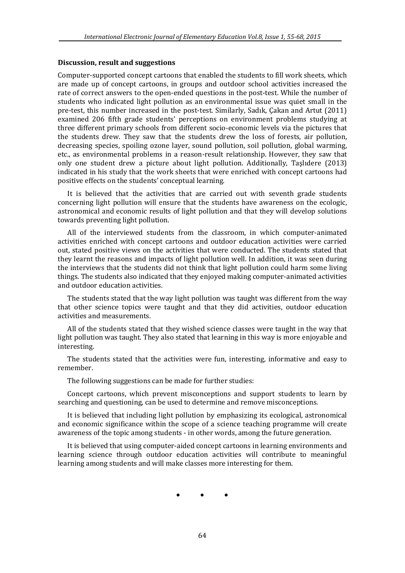### **Discussion, result and suggestions**

Computer-supported concept cartoons that enabled the students to fill work sheets, which are made up of concept cartoons, in groups and outdoor school activities increased the rate of correct answers to the open-ended questions in the post-test. While the number of students who indicated light pollution as an environmental issue was quiet small in the pre-test, this number increased in the post-test. Similarly, Sadık, Çakan and Artut (2011) examined 206 fifth grade students' perceptions on environment problems studying at three different primary schools from different socio-economic levels via the pictures that the students drew. They saw that the students drew the loss of forests, air pollution, decreasing species, spoiling ozone layer, sound pollution, soil pollution, global warming, etc., as environmental problems in a reason-result relationship. However, they saw that only one student drew a picture about light pollution. Additionally, Taşlıdere (2013) indicated in his study that the work sheets that were enriched with concept cartoons had positive effects on the students' conceptual learning.

It is believed that the activities that are carried out with seventh grade students concerning light pollution will ensure that the students have awareness on the ecologic, astronomical and economic results of light pollution and that they will develop solutions towards preventing light pollution.

All of the interviewed students from the classroom, in which computer-animated activities enriched with concept cartoons and outdoor education activities were carried out, stated positive views on the activities that were conducted. The students stated that they learnt the reasons and impacts of light pollution well. In addition, it was seen during the interviews that the students did not think that light pollution could harm some living things. The students also indicated that they enjoyed making computer-animated activities and outdoor education activities.

The students stated that the way light pollution was taught was different from the way that other science topics were taught and that they did activities, outdoor education activities and measurements.

All of the students stated that they wished science classes were taught in the way that light pollution was taught. They also stated that learning in this way is more enjoyable and interesting.

The students stated that the activities were fun, interesting, informative and easy to remember.

The following suggestions can be made for further studies:

Concept cartoons, which prevent misconceptions and support students to learn by searching and questioning, can be used to determine and remove misconceptions.

It is believed that including light pollution by emphasizing its ecological, astronomical and economic significance within the scope of a science teaching programme will create awareness of the topic among students - in other words, among the future generation.

It is believed that using computer-aided concept cartoons in learning environments and learning science through outdoor education activities will contribute to meaningful learning among students and will make classes more interesting for them.

• • •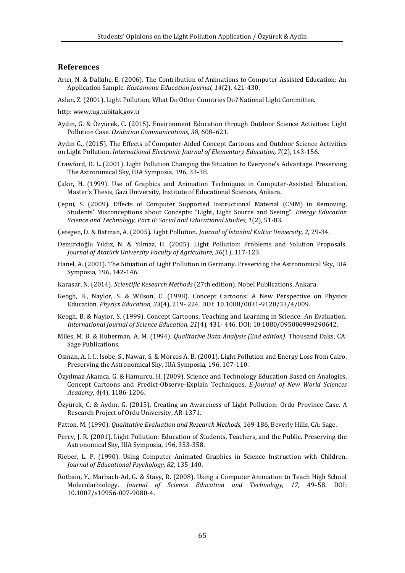#### **References**

- Arıcı, N. & Dalkılıç, E. (2006). The Contribution of Animations to Computer Assisted Education: An Application Sample. *Kastamonu Education Journal, 14*(2), 421-430.
- Aslan, Z. (2001). Light Pollution, What Do Other Countries Do? National Light Committee.
- http[: www.tug.tubitak.gov.tr](http://www.tug.tubitak.gov.tr/)
- Aydın, G. & Özyürek, C. (2015). Environment Education through Outdoor Science Activities: Light Pollution Case. *Oxidation Communications, 38*, 608–621.
- Aydın G., (2015). The Effects of Computer-Aided Concept Cartoons and Outdoor Science Activities on Light Pollution. *International Electronic Journal of Elementary Education, 7*(2), 143-156.
- Crawford, D. L. (2001). Light Pollution Changing the Situation to Everyone's Advantage. Preserving The Astronimical Sky, IUA Symposia, 196, 33-38.
- Çakır, H. (1999). Use of Graphics and Animation Techniques in Computer-Assisted Education, Master's Thesis, Gazi University, Institute of Educational Sciences, Ankara.
- Çepni, S. (2009). Effects of Computer Supported Instructional Material (CSIM) in Removing, Students' Misconceptions about Concepts: "Light, Light Source and Seeing". *Energy Education Science and Technology, Part B: Social and Educational Studies, 1*(2), 51-83.
- Çetegen, D. & Batman, A. (2005). Light Pollution. *Journal of İstanbul Kültür University, 2*, 29-34.
- Demircioğlu Yıldız, N. & Yılmaz, H. (2005). Light Pollution: Problems and Solution Proposals. *Journal of Atatürk University Faculty of Agriculture, 36*(1), 117-123.
- Hanel, A. (2001). The Situation of Light Pollution in Germany. Preserving the Astronomical Sky, IUA Symposia, 196, 142-146.
- Karasar, N. (2014). *Scientific Research Methods* (27th edition). Nobel Publications, Ankara.
- Keogh, B., Naylor, S. & Wilson, C. (1998). Concept Cartoons: A New Perspective on Physics Education. *Physics Education, 33*(4), 219- 224. DOI: 10.1088/0031-9120/33/4/009.
- Keogh, B. & Naylor, S. (1999). Concept Cartoons, Teaching and Learning in Science: An Evaluation. *International Journal of Science Education, 21*(4), 431- 446. DOI: 10.1080/095006999290642.
- Miles, M. B. & Huberman, A. M. (1994). *Qualitative Data Analysis (2nd edition)*. Thousand Oaks, CA: Sage Publications.
- Osman, A. I. I., Isobe, S., Nawar, S. & Morcos A. B. (2001). Light Pollution and Energy Loss from Cairo. Preserving the Astronomical Sky, IUA Symposia, 196, 107-110.
- Özyılmaz Akamca, G. & Hamurcu, H. (2009). Science and Technology Education Based on Analogies, Concept Cartoons and Predict-Observe-Explain Techniques. *E-Journal of New World Sciences Academy, 4*(4), 1186-1206.
- Özyürek, C. & Aydın, G. (2015). Creating an Awareness of Light Pollution: Ordu Province Case. A Research Project of Ordu University, AR-1371.
- Patton, M. (1990). *Qualitative Evaluation and Research Methods*, 169-186, Beverly Hills, CA: Sage.
- Percy, J. R. (2001). Light Pollution: Education of Students, Teachers, and the Public. Preserving the Astronomical Sky, IUA Symposia, 196, 353-358.
- Rieber, L. P. (1990). Using Computer Animated Graphics in Science Instruction with Children. *Journal of Educational Psychology, 82*, 135-140.
- Rotbain, Y., Marbach-Ad, G. & Stavy, R. (2008). Using a Computer Animation to Teach High School Molecularbiology. *Journal of Science Education and Technology, 17*, 49–58. DOI: 10.1007/s10956-007-9080-4.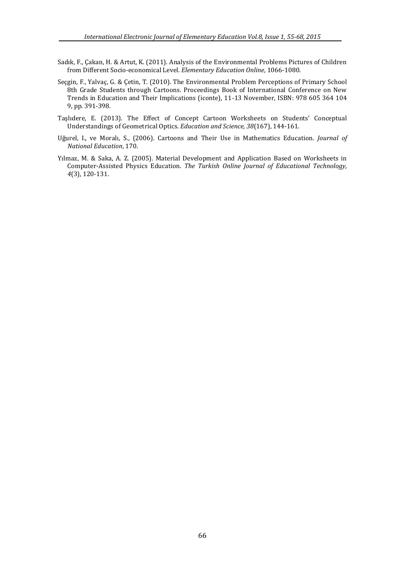- Sadık, F., Çakan, H. & Artut, K. (2011). Analysis of the Environmental Problems Pictures of Children from Different Socio-economical Level. *Elementary Education Online*, 1066-1080.
- Seçgin, F., Yalvaç, G. & Çetin, T. (2010). The Environmental Problem Perceptions of Primary School 8th Grade Students through Cartoons. Proceedings Book of International Conference on New Trends in Education and Their Implications (iconte), 11-13 November, ISBN: 978 605 364 104 9, pp. 391-398.
- Taşlıdere, E. (2013). The Effect of Concept Cartoon Worksheets on Students' Conceptual Understandings of Geometrical Optics. *Education and Science, 38*(167), 144-161.
- Uğurel, I., ve Moralı, S., (2006). Cartoons and Their Use in Mathematics Education. *Journal of National Education*, 170.
- Yılmaz, M. & Saka, A. Z. (2005). Material Development and Application Based on Worksheets in Computer-Assisted Physics Education. *The Turkish Online Journal of Educational Technology, 4*(3), 120-131.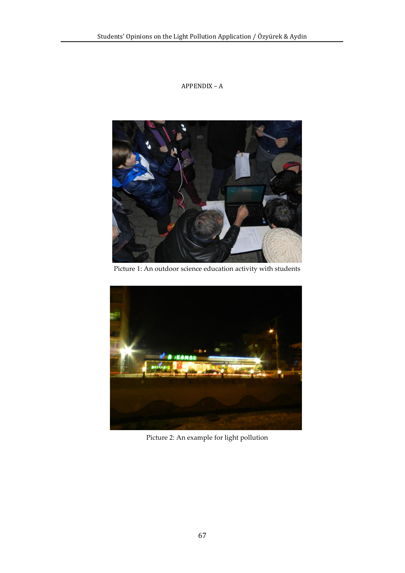# APPENDIX – A



Picture 1: An outdoor science education activity with students



Picture 2: An example for light pollution